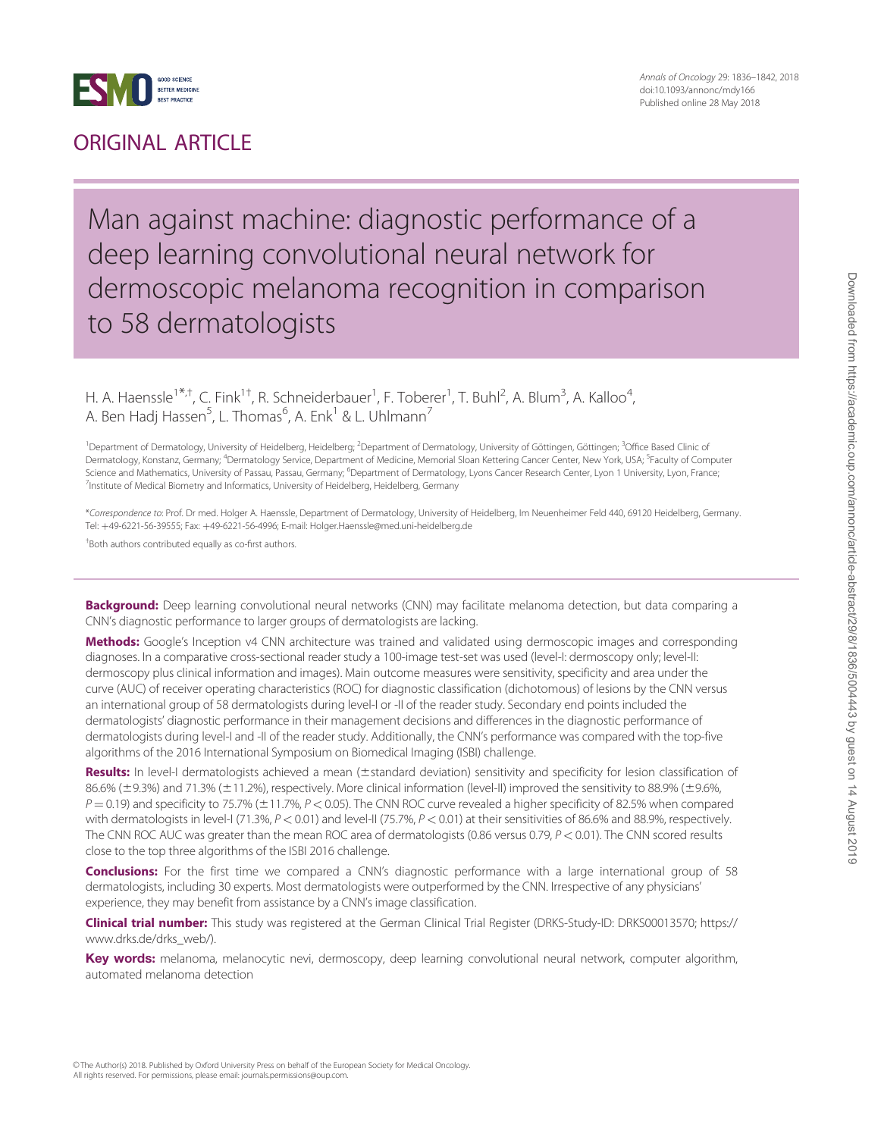

### ORIGINAL ARTICLE

Annals of Oncology 29: 1836–1842, 2018 doi:10.1093/annonc/mdy166 Published online 28 May 2018

### Man against machine: diagnostic performance of a deep learning convolutional neural network for dermoscopic melanoma recognition in comparison to 58 dermatologists

H. A. Haenssle<sup>1\*,†</sup>, C. Fink<sup>1†</sup>, R. Schneiderbauer<sup>1</sup>, F. Toberer<sup>1</sup>, T. Buhl<sup>2</sup>, A. Blum<sup>3</sup>, A. Kalloo<sup>4</sup> , A. Ben Hadj Hassen $^5$ , L. Thomas $^6$ , A. Enk $^1$  & L. Uhlmann $^7$ 

<sup>1</sup> Department of Dermatology, University of Heidelberg, Heidelberg; <sup>2</sup> Department of Dermatology, University of Göttingen, Göttingen; <sup>3</sup>Office Based Clinic of Dermatology, Konstanz, Germany; <sup>4</sup>Dermatology Service, Department of Medicine, Memorial Sloan Kettering Cancer Center, New York, USA; <sup>5</sup>Faculty of Computer Science and Mathematics, University of Passau, Passau, Germany; <sup>6</sup>Department of Dermatology, Lyons Cancer Research Center, Lyon 1 University, Lyon, France <sup>7</sup>Institute of Medical Biometry and Informatics, University of Heidelberg, Heidelberg, Germany

\*Correspondence to: Prof. Dr med. Holger A. Haenssle, Department of Dermatology, University of Heidelberg, Im Neuenheimer Feld 440, 69120 Heidelberg, Germany. Tel: +49-6221-56-39555; Fax: +49-6221-56-4996; E-mail: Holger.Haenssle@med.uni-heidelberg.de

† Both authors contributed equally as co-first authors.

Background: Deep learning convolutional neural networks (CNN) may facilitate melanoma detection, but data comparing a CNN's diagnostic performance to larger groups of dermatologists are lacking.

Methods: Google's Inception v4 CNN architecture was trained and validated using dermoscopic images and corresponding diagnoses. In a comparative cross-sectional reader study a 100-image test-set was used (level-I: dermoscopy only; level-II: dermoscopy plus clinical information and images). Main outcome measures were sensitivity, specificity and area under the curve (AUC) of receiver operating characteristics (ROC) for diagnostic classification (dichotomous) of lesions by the CNN versus an international group of 58 dermatologists during level-I or -II of the reader study. Secondary end points included the dermatologists' diagnostic performance in their management decisions and differences in the diagnostic performance of dermatologists during level-I and -II of the reader study. Additionally, the CNN's performance was compared with the top-five algorithms of the 2016 International Symposium on Biomedical Imaging (ISBI) challenge.

Results: In level-I dermatologists achieved a mean (±standard deviation) sensitivity and specificity for lesion classification of  $86.6\%$  ( $\pm$ 9.3%) and 71.3% ( $\pm$ 11.2%), respectively. More clinical information (level-II) improved the sensitivity to 88.9% ( $\pm$ 9.6%,  $P = 0.19$ ) and specificity to 75.7% ( $\pm$ 11.7%,  $P < 0.05$ ). The CNN ROC curve revealed a higher specificity of 82.5% when compared with dermatologists in level-I (71.3%,  $P < 0.01$ ) and level-II (75.7%,  $P < 0.01$ ) at their sensitivities of 86.6% and 88.9%, respectively. The CNN ROC AUC was greater than the mean ROC area of dermatologists (0.86 versus 0.79, P < 0.01). The CNN scored results close to the top three algorithms of the ISBI 2016 challenge.

Conclusions: For the first time we compared a CNN's diagnostic performance with a large international group of 58 dermatologists, including 30 experts. Most dermatologists were outperformed by the CNN. Irrespective of any physicians' experience, they may benefit from assistance by a CNN's image classification.

Clinical trial number: This study was registered at the German Clinical Trial Register (DRKS-Study-ID: DRKS00013570; [https://](https://www.drks.de/drks_web/) [www.drks.de/drks\\_web/](https://www.drks.de/drks_web/)).

Key words: melanoma, melanocytic nevi, dermoscopy, deep learning convolutional neural network, computer algorithm, automated melanoma detection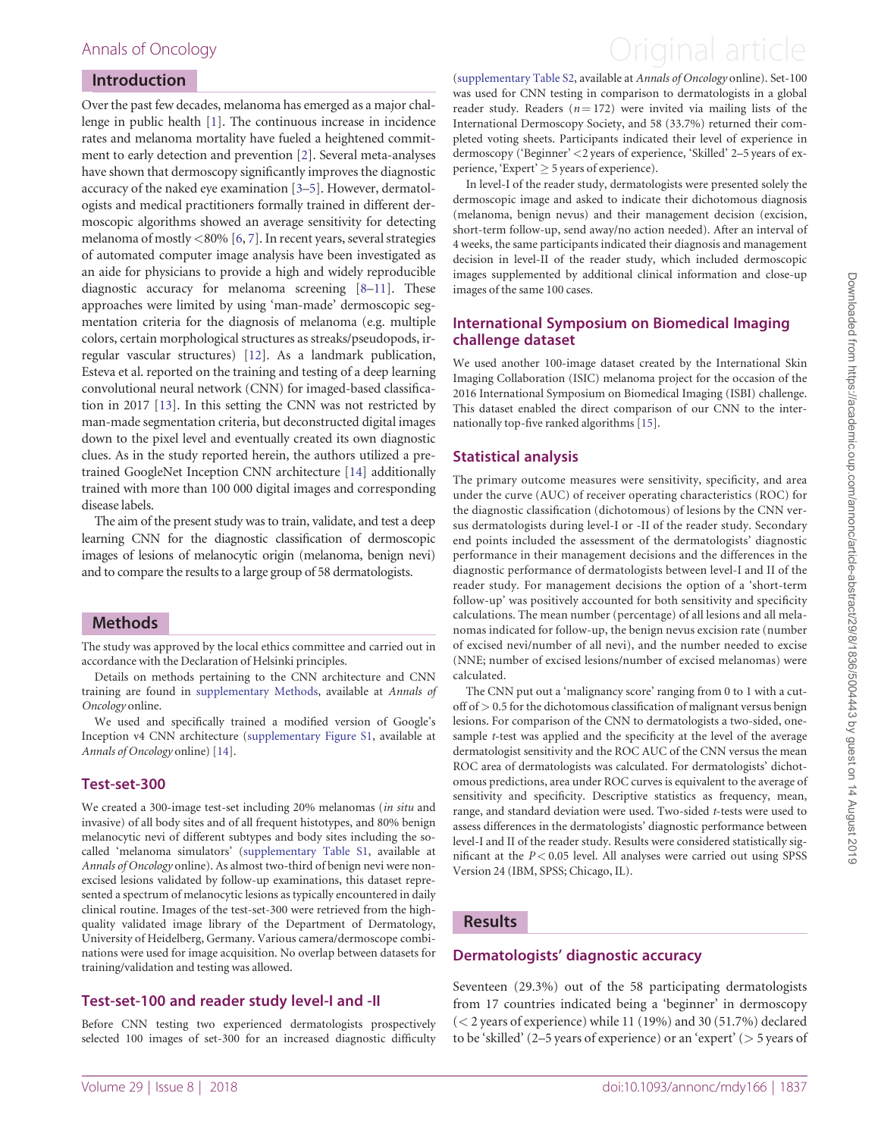#### Introduction

Over the past few decades, melanoma has emerged as a major challenge in public health [[1\]](#page-6-0). The continuous increase in incidence rates and melanoma mortality have fueled a heightened commitment to early detection and prevention [[2](#page-6-0)]. Several meta-analyses have shown that dermoscopy significantly improves the diagnostic accuracy of the naked eye examination [[3–5\]](#page-6-0). However, dermatologists and medical practitioners formally trained in different dermoscopic algorithms showed an average sensitivity for detecting melanoma of mostly  $\langle 80\% \, [6, 7]$  $\langle 80\% \, [6, 7]$  $\langle 80\% \, [6, 7]$  $\langle 80\% \, [6, 7]$ . In recent years, several strategies of automated computer image analysis have been investigated as an aide for physicians to provide a high and widely reproducible diagnostic accuracy for melanoma screening [[8](#page-6-0)–[11\]](#page-6-0). These approaches were limited by using 'man-made' dermoscopic segmentation criteria for the diagnosis of melanoma (e.g. multiple colors, certain morphological structures as streaks/pseudopods, irregular vascular structures) [[12\]](#page-6-0). As a landmark publication, Esteva et al. reported on the training and testing of a deep learning convolutional neural network (CNN) for imaged-based classification in 2017 [[13\]](#page-6-0). In this setting the CNN was not restricted by man-made segmentation criteria, but deconstructed digital images down to the pixel level and eventually created its own diagnostic clues. As in the study reported herein, the authors utilized a pretrained GoogleNet Inception CNN architecture [[14\]](#page-6-0) additionally trained with more than 100 000 digital images and corresponding disease labels.

The aim of the present study was to train, validate, and test a deep learning CNN for the diagnostic classification of dermoscopic images of lesions of melanocytic origin (melanoma, benign nevi) and to compare the results to a large group of 58 dermatologists.

#### Methods

The study was approved by the local ethics committee and carried out in accordance with the Declaration of Helsinki principles.

Details on methods pertaining to the CNN architecture and CNN training are found in [supplementary Methods](https://academic.oup.com/annonc/article-lookup/doi/10.1093/annonc/mdy166#supplementary-data), available at Annals of Oncology online.

We used and specifically trained a modified version of Google's Inception v4 CNN architecture [\(supplementary Figure S1,](https://academic.oup.com/annonc/article-lookup/doi/10.1093/annonc/mdy166#supplementary-data) available at Annals of Oncology online) [\[14](#page-6-0)].

#### Test-set-300

We created a 300-image test-set including 20% melanomas (in situ and invasive) of all body sites and of all frequent histotypes, and 80% benign melanocytic nevi of different subtypes and body sites including the socalled 'melanoma simulators' [\(supplementary Table S1](https://academic.oup.com/annonc/article-lookup/doi/10.1093/annonc/mdy166#supplementary-data), available at Annals of Oncology online). As almost two-third of benign nevi were nonexcised lesions validated by follow-up examinations, this dataset represented a spectrum of melanocytic lesions as typically encountered in daily clinical routine. Images of the test-set-300 were retrieved from the highquality validated image library of the Department of Dermatology, University of Heidelberg, Germany. Various camera/dermoscope combinations were used for image acquisition. No overlap between datasets for training/validation and testing was allowed.

#### Test-set-100 and reader study level-I and -II

Before CNN testing two experienced dermatologists prospectively selected 100 images of set-300 for an increased diagnostic difficulty

### <span id="page-1-0"></span>Annals of Oncology **Annals of Oncology Annal article**

[\(supplementary Table S2](https://academic.oup.com/annonc/article-lookup/doi/10.1093/annonc/mdy166#supplementary-data), available at Annals of Oncology online). Set-100 was used for CNN testing in comparison to dermatologists in a global reader study. Readers ( $n = 172$ ) were invited via mailing lists of the International Dermoscopy Society, and 58 (33.7%) returned their completed voting sheets. Participants indicated their level of experience in dermoscopy ('Beginner' <2 years of experience, 'Skilled' 2–5 years of experience, 'Expert'  $\geq$  5 years of experience).

In level-I of the reader study, dermatologists were presented solely the dermoscopic image and asked to indicate their dichotomous diagnosis (melanoma, benign nevus) and their management decision (excision, short-term follow-up, send away/no action needed). After an interval of 4 weeks, the same participants indicated their diagnosis and management decision in level-II of the reader study, which included dermoscopic images supplemented by additional clinical information and close-up images of the same 100 cases.

#### International Symposium on Biomedical Imaging challenge dataset

We used another 100-image dataset created by the International Skin Imaging Collaboration (ISIC) melanoma project for the occasion of the 2016 International Symposium on Biomedical Imaging (ISBI) challenge. This dataset enabled the direct comparison of our CNN to the internationally top-five ranked algorithms [[15](#page-6-0)].

#### Statistical analysis

The primary outcome measures were sensitivity, specificity, and area under the curve (AUC) of receiver operating characteristics (ROC) for the diagnostic classification (dichotomous) of lesions by the CNN versus dermatologists during level-I or -II of the reader study. Secondary end points included the assessment of the dermatologists' diagnostic performance in their management decisions and the differences in the diagnostic performance of dermatologists between level-I and II of the reader study. For management decisions the option of a 'short-term follow-up' was positively accounted for both sensitivity and specificity calculations. The mean number (percentage) of all lesions and all melanomas indicated for follow-up, the benign nevus excision rate (number of excised nevi/number of all nevi), and the number needed to excise (NNE; number of excised lesions/number of excised melanomas) were calculated.

The CNN put out a 'malignancy score' ranging from 0 to 1 with a cutoff of > 0.5 for the dichotomous classification of malignant versus benign lesions. For comparison of the CNN to dermatologists a two-sided, onesample t-test was applied and the specificity at the level of the average dermatologist sensitivity and the ROC AUC of the CNN versus the mean ROC area of dermatologists was calculated. For dermatologists' dichotomous predictions, area under ROC curves is equivalent to the average of sensitivity and specificity. Descriptive statistics as frequency, mean, range, and standard deviation were used. Two-sided t-tests were used to assess differences in the dermatologists' diagnostic performance between level-I and II of the reader study. Results were considered statistically significant at the  $P < 0.05$  level. All analyses were carried out using SPSS Version 24 (IBM, SPSS; Chicago, IL).

#### Results

#### Dermatologists' diagnostic accuracy

Seventeen (29.3%) out of the 58 participating dermatologists from 17 countries indicated being a 'beginner' in dermoscopy (< 2 years of experience) while 11 (19%) and 30 (51.7%) declared to be 'skilled' (2–5 years of experience) or an 'expert' (> 5 years of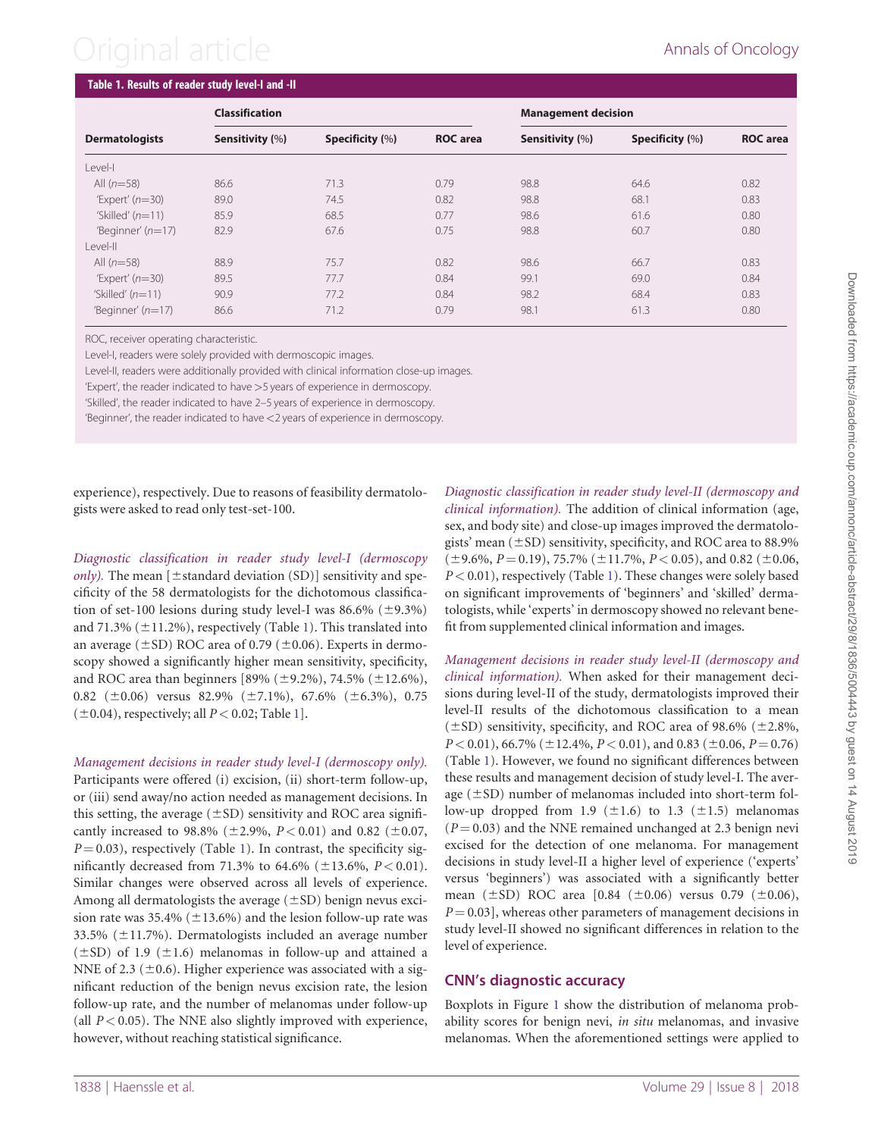# Original article **Annals of Oncology**

| <b>Dermatologists</b> | <b>Classification</b> |                 |                 | <b>Management decision</b> |                 |                 |
|-----------------------|-----------------------|-----------------|-----------------|----------------------------|-----------------|-----------------|
|                       | Sensitivity (%)       | Specificity (%) | <b>ROC</b> area | Sensitivity (%)            | Specificity (%) | <b>ROC</b> area |
| Level-I               |                       |                 |                 |                            |                 |                 |
| All $(n=58)$          | 86.6                  | 71.3            | 0.79            | 98.8                       | 64.6            | 0.82            |
| 'Expert' $(n=30)$     | 89.0                  | 74.5            | 0.82            | 98.8                       | 68.1            | 0.83            |
| 'Skilled' $(n=11)$    | 85.9                  | 68.5            | 0.77            | 98.6                       | 61.6            | 0.80            |
| 'Beginner' $(n=17)$   | 82.9                  | 67.6            | 0.75            | 98.8                       | 60.7            | 0.80            |
| Level-II              |                       |                 |                 |                            |                 |                 |
| All $(n=58)$          | 88.9                  | 75.7            | 0.82            | 98.6                       | 66.7            | 0.83            |
| 'Expert' $(n=30)$     | 89.5                  | 77.7            | 0.84            | 99.1                       | 69.0            | 0.84            |
| 'Skilled' $(n=11)$    | 90.9                  | 77.2            | 0.84            | 98.2                       | 68.4            | 0.83            |
| 'Beginner' $(n=17)$   | 86.6                  | 71.2            | 0.79            | 98.1                       | 61.3            | 0.80            |

ROC, receiver operating characteristic.

Level-I, readers were solely provided with dermoscopic images.

Level-II, readers were additionally provided with clinical information close-up images.

'Expert', the reader indicated to have >5 years of experience in dermoscopy.

'Skilled', the reader indicated to have 2–5 years of experience in dermoscopy.

'Beginner', the reader indicated to have <2 years of experience in dermoscopy.

experience), respectively. Due to reasons of feasibility dermatologists were asked to read only test-set-100.

Diagnostic classification in reader study level-I (dermoscopy *only*). The mean  $[\pm$ standard deviation (SD)] sensitivity and specificity of the 58 dermatologists for the dichotomous classification of set-100 lesions during study level-I was  $86.6\%$  ( $\pm$ 9.3%) and 71.3% ( $\pm$ 11.2%), respectively (Table 1). This translated into an average ( $\pm$ SD) ROC area of 0.79 ( $\pm$ 0.06). Experts in dermoscopy showed a significantly higher mean sensitivity, specificity, and ROC area than beginners [89% ( $\pm$ 9.2%), 74.5% ( $\pm$ 12.6%), 0.82 ( $\pm$ 0.06) versus 82.9% ( $\pm$ 7.1%), 67.6% ( $\pm$ 6.3%), 0.75  $(\pm 0.04)$ , respectively; all  $P < 0.02$ ; Table 1].

Management decisions in reader study level-I (dermoscopy only). Participants were offered (i) excision, (ii) short-term follow-up, or (iii) send away/no action needed as management decisions. In this setting, the average  $(\pm SD)$  sensitivity and ROC area significantly increased to 98.8% ( $\pm$ 2.9%,  $P < 0.01$ ) and 0.82 ( $\pm$ 0.07,  $P = 0.03$ ), respectively (Table 1). In contrast, the specificity significantly decreased from 71.3% to 64.6% ( $\pm$ 13.6%, P < 0.01). Similar changes were observed across all levels of experience. Among all dermatologists the average  $(\pm SD)$  benign nevus excision rate was 35.4% ( $\pm$ 13.6%) and the lesion follow-up rate was 33.5% ( $\pm$ 11.7%). Dermatologists included an average number  $(\pm SD)$  of 1.9 ( $\pm 1.6$ ) melanomas in follow-up and attained a NNE of 2.3 ( $\pm$ 0.6). Higher experience was associated with a significant reduction of the benign nevus excision rate, the lesion follow-up rate, and the number of melanomas under follow-up (all  $P < 0.05$ ). The NNE also slightly improved with experience, however, without reaching statistical significance.

Diagnostic classification in reader study level-II (dermoscopy and clinical information). The addition of clinical information (age, sex, and body site) and close-up images improved the dermatologists' mean  $(\pm SD)$  sensitivity, specificity, and ROC area to 88.9%  $(\pm 9.6\%, P = 0.19)$ , 75.7% ( $\pm 11.7\%, P < 0.05$ ), and 0.82 ( $\pm 0.06$ ,  $P < 0.01$ ), respectively (Table 1). These changes were solely based on significant improvements of 'beginners' and 'skilled' dermatologists, while 'experts' in dermoscopy showed no relevant benefit from supplemented clinical information and images.

Management decisions in reader study level-II (dermoscopy and clinical information). When asked for their management decisions during level-II of the study, dermatologists improved their level-II results of the dichotomous classification to a mean  $(\pm SD)$  sensitivity, specificity, and ROC area of 98.6% ( $\pm$ 2.8%,  $P < 0.01$ ), 66.7% ( $\pm$ 12.4%,  $P < 0.01$ ), and 0.83 ( $\pm$ 0.06,  $P = 0.76$ ) (Table 1). However, we found no significant differences between these results and management decision of study level-I. The average  $(\pm SD)$  number of melanomas included into short-term follow-up dropped from 1.9 ( $\pm$ 1.6) to 1.3 ( $\pm$ 1.5) melanomas  $(P = 0.03)$  and the NNE remained unchanged at 2.3 benign nevi excised for the detection of one melanoma. For management decisions in study level-II a higher level of experience ('experts' versus 'beginners') was associated with a significantly better mean ( $\pm$ SD) ROC area [0.84 ( $\pm$ 0.06) versus 0.79 ( $\pm$ 0.06),  $P = 0.03$ , whereas other parameters of management decisions in study level-II showed no significant differences in relation to the level of experience.

#### CNN's diagnostic accuracy

Boxplots in Figure [1](#page-3-0) show the distribution of melanoma probability scores for benign nevi, in situ melanomas, and invasive melanomas. When the aforementioned settings were applied to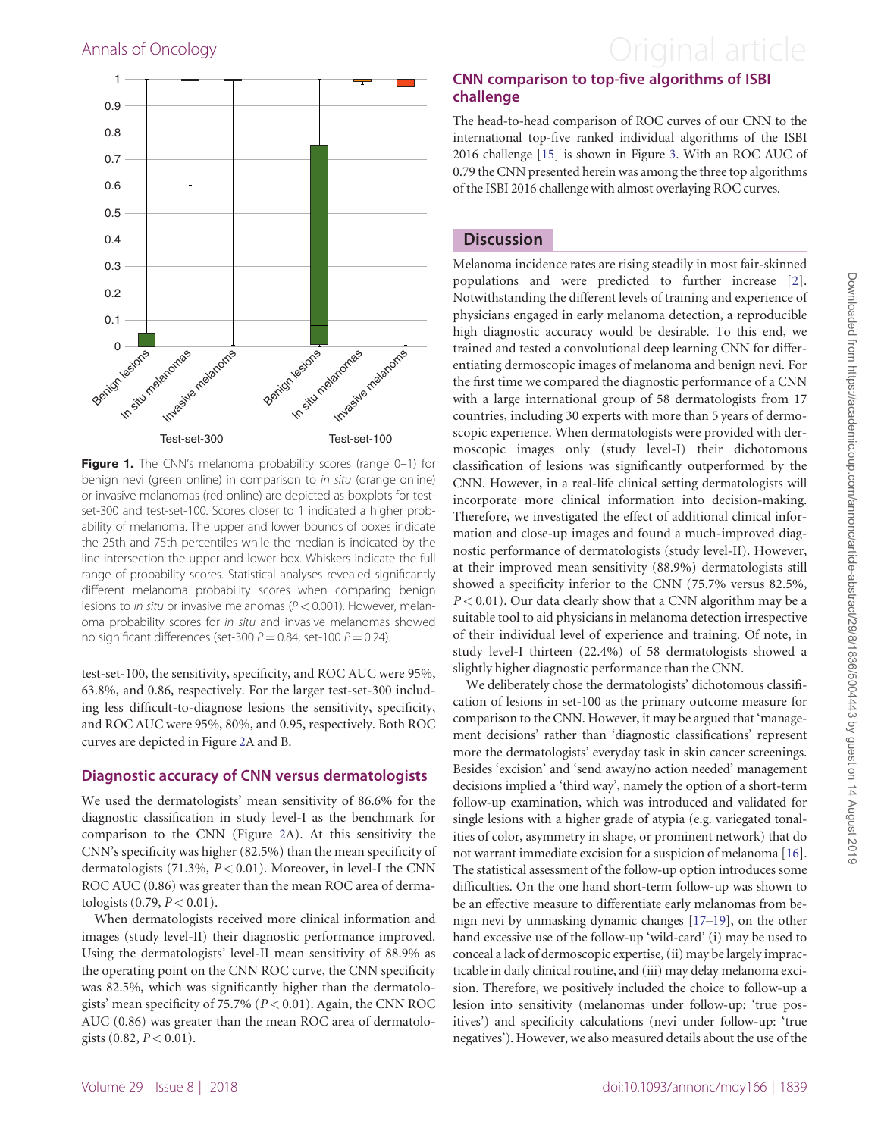

Figure 1. The CNN's melanoma probability scores (range 0-1) for benign nevi (green online) in comparison to in situ (orange online) or invasive melanomas (red online) are depicted as boxplots for testset-300 and test-set-100. Scores closer to 1 indicated a higher probability of melanoma. The upper and lower bounds of boxes indicate the 25th and 75th percentiles while the median is indicated by the line intersection the upper and lower box. Whiskers indicate the full range of probability scores. Statistical analyses revealed significantly different melanoma probability scores when comparing benign lesions to *in situ* or invasive melanomas ( $P < 0.001$ ). However, melanoma probability scores for in situ and invasive melanomas showed no significant differences (set-300  $P = 0.84$ , set-100  $P = 0.24$ ).

test-set-100, the sensitivity, specificity, and ROC AUC were 95%, 63.8%, and 0.86, respectively. For the larger test-set-300 including less difficult-to-diagnose lesions the sensitivity, specificity, and ROC AUC were 95%, 80%, and 0.95, respectively. Both ROC curves are depicted in Figure [2A](#page-4-0) and B.

#### Diagnostic accuracy of CNN versus dermatologists

We used the dermatologists' mean sensitivity of 86.6% for the diagnostic classification in study level-I as the benchmark for comparison to the CNN (Figure [2A](#page-4-0)). At this sensitivity the CNN's specificity was higher (82.5%) than the mean specificity of dermatologists (71.3%,  $P < 0.01$ ). Moreover, in level-I the CNN ROC AUC (0.86) was greater than the mean ROC area of dermatologists  $(0.79, P < 0.01)$ .

When dermatologists received more clinical information and images (study level-II) their diagnostic performance improved. Using the dermatologists' level-II mean sensitivity of 88.9% as the operating point on the CNN ROC curve, the CNN specificity was 82.5%, which was significantly higher than the dermatologists' mean specificity of 75.7% (P < 0.01). Again, the CNN ROC AUC (0.86) was greater than the mean ROC area of dermatologists  $(0.82, P < 0.01)$ .

## <span id="page-3-0"></span>Annals of Oncology **Annals of Oncology Annal article**

#### CNN comparison to top-five algorithms of ISBI challenge

The head-to-head comparison of ROC curves of our CNN to the international top-five ranked individual algorithms of the ISBI 2016 challenge [[15](#page-6-0)] is shown in Figure [3.](#page-5-0) With an ROC AUC of 0.79 the CNN presented herein was among the three top algorithms of the ISBI 2016 challenge with almost overlaying ROC curves.

#### **Discussion**

Melanoma incidence rates are rising steadily in most fair-skinned populations and were predicted to further increase [[2](#page-6-0)]. Notwithstanding the different levels of training and experience of physicians engaged in early melanoma detection, a reproducible high diagnostic accuracy would be desirable. To this end, we trained and tested a convolutional deep learning CNN for differentiating dermoscopic images of melanoma and benign nevi. For the first time we compared the diagnostic performance of a CNN with a large international group of 58 dermatologists from 17 countries, including 30 experts with more than 5 years of dermoscopic experience. When dermatologists were provided with dermoscopic images only (study level-I) their dichotomous classification of lesions was significantly outperformed by the CNN. However, in a real-life clinical setting dermatologists will incorporate more clinical information into decision-making. Therefore, we investigated the effect of additional clinical information and close-up images and found a much-improved diagnostic performance of dermatologists (study level-II). However, at their improved mean sensitivity (88.9%) dermatologists still showed a specificity inferior to the CNN (75.7% versus 82.5%,  $P < 0.01$ ). Our data clearly show that a CNN algorithm may be a suitable tool to aid physicians in melanoma detection irrespective of their individual level of experience and training. Of note, in study level-I thirteen (22.4%) of 58 dermatologists showed a slightly higher diagnostic performance than the CNN.

We deliberately chose the dermatologists' dichotomous classification of lesions in set-100 as the primary outcome measure for comparison to the CNN. However, it may be argued that 'management decisions' rather than 'diagnostic classifications' represent more the dermatologists' everyday task in skin cancer screenings. Besides 'excision' and 'send away/no action needed' management decisions implied a 'third way', namely the option of a short-term follow-up examination, which was introduced and validated for single lesions with a higher grade of atypia (e.g. variegated tonalities of color, asymmetry in shape, or prominent network) that do not warrant immediate excision for a suspicion of melanoma [[16\]](#page-6-0). The statistical assessment of the follow-up option introduces some difficulties. On the one hand short-term follow-up was shown to be an effective measure to differentiate early melanomas from benign nevi by unmasking dynamic changes [\[17–19\]](#page-6-0), on the other hand excessive use of the follow-up 'wild-card' (i) may be used to conceal a lack of dermoscopic expertise, (ii) may be largely impracticable in daily clinical routine, and (iii) may delay melanoma excision. Therefore, we positively included the choice to follow-up a lesion into sensitivity (melanomas under follow-up: 'true positives') and specificity calculations (nevi under follow-up: 'true negatives'). However, we also measured details about the use of the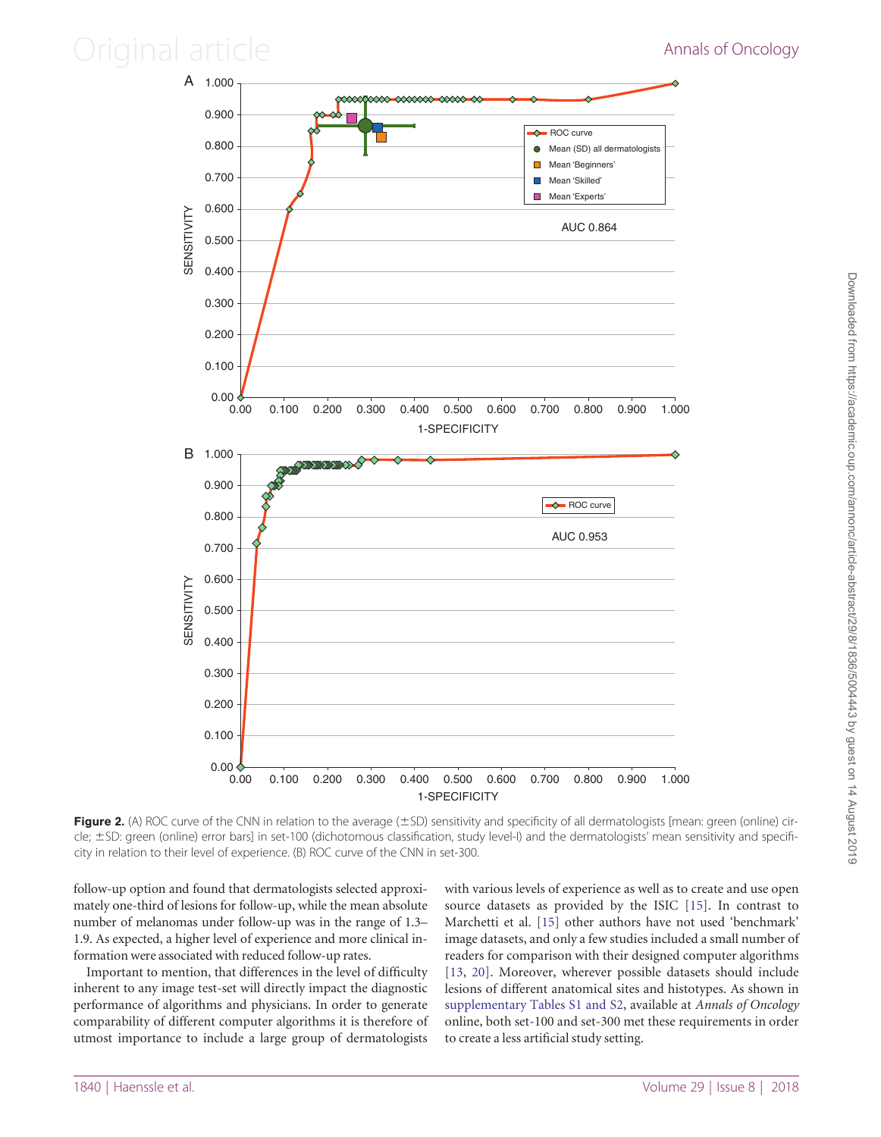### <span id="page-4-0"></span>Original article **Annals of Oncology**





Figure 2. (A) ROC curve of the CNN in relation to the average  $(\pm SD)$  sensitivity and specificity of all dermatologists [mean: green (online) circle; ±SD: green (online) error bars] in set-100 (dichotomous classification, study level-I) and the dermatologists' mean sensitivity and specificity in relation to their level of experience. (B) ROC curve of the CNN in set-300.

follow-up option and found that dermatologists selected approximately one-third of lesions for follow-up, while the mean absolute number of melanomas under follow-up was in the range of 1.3– 1.9. As expected, a higher level of experience and more clinical information were associated with reduced follow-up rates.

Important to mention, that differences in the level of difficulty inherent to any image test-set will directly impact the diagnostic performance of algorithms and physicians. In order to generate comparability of different computer algorithms it is therefore of utmost importance to include a large group of dermatologists with various levels of experience as well as to create and use open source datasets as provided by the ISIC [[15\]](#page-6-0). In contrast to Marchetti et al. [[15\]](#page-6-0) other authors have not used 'benchmark' image datasets, and only a few studies included a small number of readers for comparison with their designed computer algorithms [[13](#page-6-0), [20](#page-6-0)]. Moreover, wherever possible datasets should include lesions of different anatomical sites and histotypes. As shown in [supplementary Tables S1 and S2](https://academic.oup.com/annonc/article-lookup/doi/10.1093/annonc/mdy166#supplementary-data), available at Annals of Oncology online, both set-100 and set-300 met these requirements in order to create a less artificial study setting.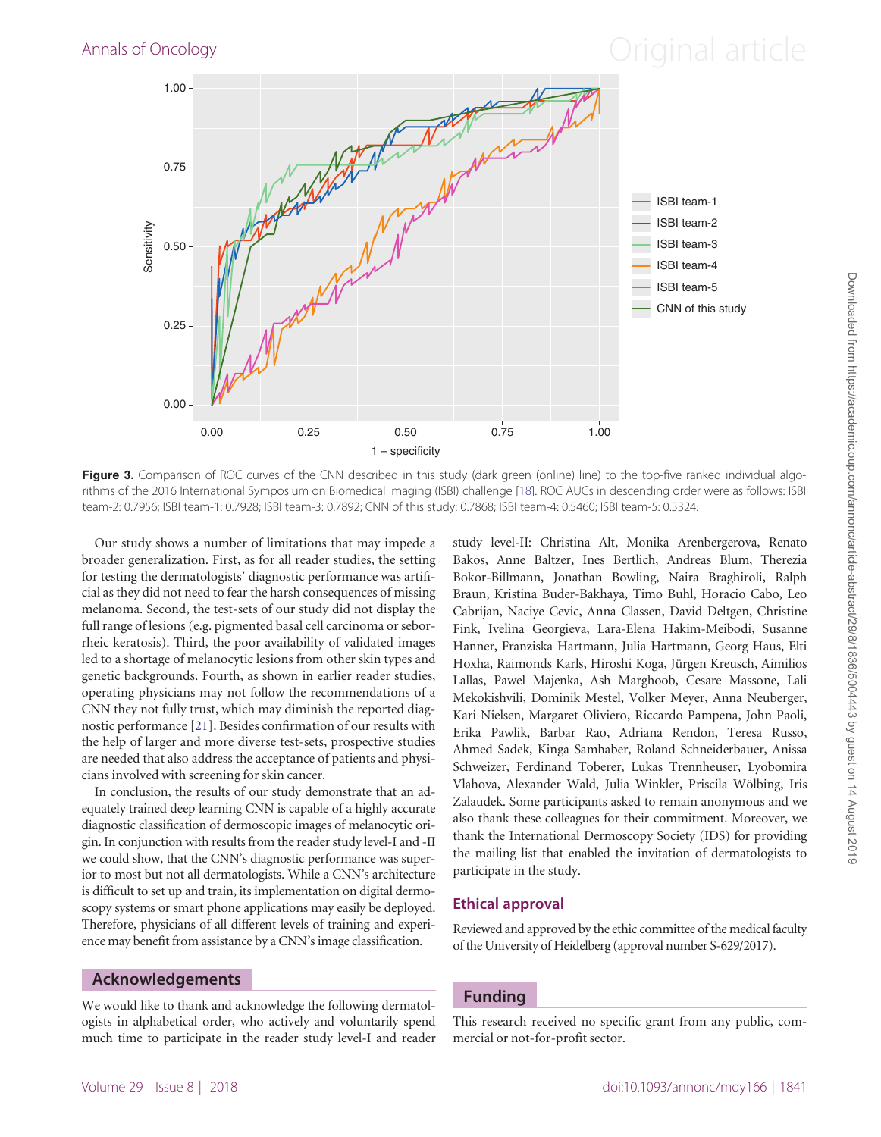### <span id="page-5-0"></span>Annals of Oncology **Annals of Oncology Annal article**



Figure 3. Comparison of ROC curves of the CNN described in this study (dark green (online) line) to the top-five ranked individual algorithms of the 2016 International Symposium on Biomedical Imaging (ISBI) challenge [[18\]](#page-6-0). ROC AUCs in descending order were as follows: ISBI team-2: 0.7956; ISBI team-1: 0.7928; ISBI team-3: 0.7892; CNN of this study: 0.7868; ISBI team-4: 0.5460; ISBI team-5: 0.5324.

Our study shows a number of limitations that may impede a broader generalization. First, as for all reader studies, the setting for testing the dermatologists' diagnostic performance was artificial as they did not need to fear the harsh consequences of missing melanoma. Second, the test-sets of our study did not display the full range of lesions (e.g. pigmented basal cell carcinoma or seborrheic keratosis). Third, the poor availability of validated images led to a shortage of melanocytic lesions from other skin types and genetic backgrounds. Fourth, as shown in earlier reader studies, operating physicians may not follow the recommendations of a CNN they not fully trust, which may diminish the reported diagnostic performance [[21\]](#page-6-0). Besides confirmation of our results with the help of larger and more diverse test-sets, prospective studies are needed that also address the acceptance of patients and physicians involved with screening for skin cancer.

In conclusion, the results of our study demonstrate that an adequately trained deep learning CNN is capable of a highly accurate diagnostic classification of dermoscopic images of melanocytic origin. In conjunction with results from the reader study level-I and -II we could show, that the CNN's diagnostic performance was superior to most but not all dermatologists. While a CNN's architecture is difficult to set up and train, its implementation on digital dermoscopy systems or smart phone applications may easily be deployed. Therefore, physicians of all different levels of training and experience may benefit from assistance by a CNN's image classification.

#### Acknowledgements

We would like to thank and acknowledge the following dermatologists in alphabetical order, who actively and voluntarily spend much time to participate in the reader study level-I and reader study level-II: Christina Alt, Monika Arenbergerova, Renato Bakos, Anne Baltzer, Ines Bertlich, Andreas Blum, Therezia Bokor-Billmann, Jonathan Bowling, Naira Braghiroli, Ralph Braun, Kristina Buder-Bakhaya, Timo Buhl, Horacio Cabo, Leo Cabrijan, Naciye Cevic, Anna Classen, David Deltgen, Christine Fink, Ivelina Georgieva, Lara-Elena Hakim-Meibodi, Susanne Hanner, Franziska Hartmann, Julia Hartmann, Georg Haus, Elti Hoxha, Raimonds Karls, Hiroshi Koga, Jürgen Kreusch, Aimilios Lallas, Pawel Majenka, Ash Marghoob, Cesare Massone, Lali Mekokishvili, Dominik Mestel, Volker Meyer, Anna Neuberger, Kari Nielsen, Margaret Oliviero, Riccardo Pampena, John Paoli, Erika Pawlik, Barbar Rao, Adriana Rendon, Teresa Russo, Ahmed Sadek, Kinga Samhaber, Roland Schneiderbauer, Anissa Schweizer, Ferdinand Toberer, Lukas Trennheuser, Lyobomira Vlahova, Alexander Wald, Julia Winkler, Priscila Wölbing, Iris Zalaudek. Some participants asked to remain anonymous and we also thank these colleagues for their commitment. Moreover, we thank the International Dermoscopy Society (IDS) for providing the mailing list that enabled the invitation of dermatologists to participate in the study.

#### Ethical approval

Reviewed and approved by the ethic committee of the medical faculty of the University of Heidelberg (approval number S-629/2017).

#### Funding

This research received no specific grant from any public, commercial or not-for-profit sector.